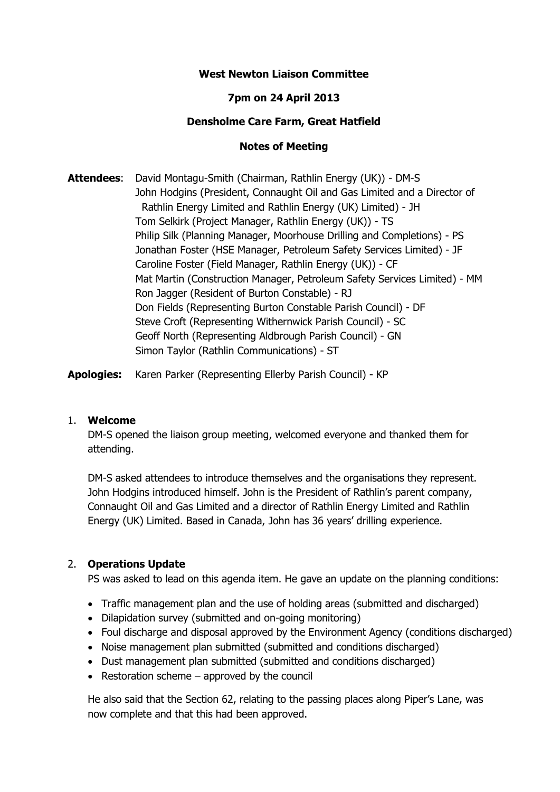# **West Newton Liaison Committee**

## **7pm on 24 April 2013**

#### **Densholme Care Farm, Great Hatfield**

#### **Notes of Meeting**

**Attendees**: David Montagu-Smith (Chairman, Rathlin Energy (UK)) - DM-S John Hodgins (President, Connaught Oil and Gas Limited and a Director of Rathlin Energy Limited and Rathlin Energy (UK) Limited) - JH Tom Selkirk (Project Manager, Rathlin Energy (UK)) - TS Philip Silk (Planning Manager, Moorhouse Drilling and Completions) - PS Jonathan Foster (HSE Manager, Petroleum Safety Services Limited) - JF Caroline Foster (Field Manager, Rathlin Energy (UK)) - CF Mat Martin (Construction Manager, Petroleum Safety Services Limited) - MM Ron Jagger (Resident of Burton Constable) - RJ Don Fields (Representing Burton Constable Parish Council) - DF Steve Croft (Representing Withernwick Parish Council) - SC Geoff North (Representing Aldbrough Parish Council) - GN Simon Taylor (Rathlin Communications) - ST

**Apologies:** Karen Parker (Representing Ellerby Parish Council) - KP

#### 1. **Welcome**

DM-S opened the liaison group meeting, welcomed everyone and thanked them for attending.

DM-S asked attendees to introduce themselves and the organisations they represent. John Hodgins introduced himself. John is the President of Rathlin's parent company, Connaught Oil and Gas Limited and a director of Rathlin Energy Limited and Rathlin Energy (UK) Limited. Based in Canada, John has 36 years' drilling experience.

#### 2. **Operations Update**

PS was asked to lead on this agenda item. He gave an update on the planning conditions:

- Traffic management plan and the use of holding areas (submitted and discharged)
- Dilapidation survey (submitted and on-going monitoring)
- Foul discharge and disposal approved by the Environment Agency (conditions discharged)
- Noise management plan submitted (submitted and conditions discharged)
- Dust management plan submitted (submitted and conditions discharged)
- Restoration scheme  $-$  approved by the council

He also said that the Section 62, relating to the passing places along Piper's Lane, was now complete and that this had been approved.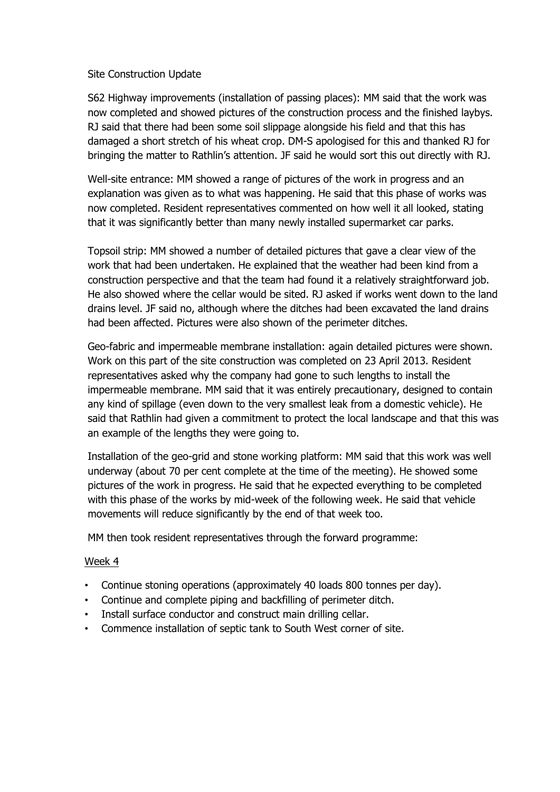## Site Construction Update

S62 Highway improvements (installation of passing places): MM said that the work was now completed and showed pictures of the construction process and the finished laybys. RJ said that there had been some soil slippage alongside his field and that this has damaged a short stretch of his wheat crop. DM-S apologised for this and thanked RJ for bringing the matter to Rathlin's attention. JF said he would sort this out directly with RJ.

Well-site entrance: MM showed a range of pictures of the work in progress and an explanation was given as to what was happening. He said that this phase of works was now completed. Resident representatives commented on how well it all looked, stating that it was significantly better than many newly installed supermarket car parks.

Topsoil strip: MM showed a number of detailed pictures that gave a clear view of the work that had been undertaken. He explained that the weather had been kind from a construction perspective and that the team had found it a relatively straightforward job. He also showed where the cellar would be sited. RJ asked if works went down to the land drains level. JF said no, although where the ditches had been excavated the land drains had been affected. Pictures were also shown of the perimeter ditches.

Geo-fabric and impermeable membrane installation: again detailed pictures were shown. Work on this part of the site construction was completed on 23 April 2013. Resident representatives asked why the company had gone to such lengths to install the impermeable membrane. MM said that it was entirely precautionary, designed to contain any kind of spillage (even down to the very smallest leak from a domestic vehicle). He said that Rathlin had given a commitment to protect the local landscape and that this was an example of the lengths they were going to.

Installation of the geo-grid and stone working platform: MM said that this work was well underway (about 70 per cent complete at the time of the meeting). He showed some pictures of the work in progress. He said that he expected everything to be completed with this phase of the works by mid-week of the following week. He said that vehicle movements will reduce significantly by the end of that week too.

MM then took resident representatives through the forward programme:

# Week 4

- Continue stoning operations (approximately 40 loads 800 tonnes per day).
- Continue and complete piping and backfilling of perimeter ditch.
- Install surface conductor and construct main drilling cellar.
- Commence installation of septic tank to South West corner of site.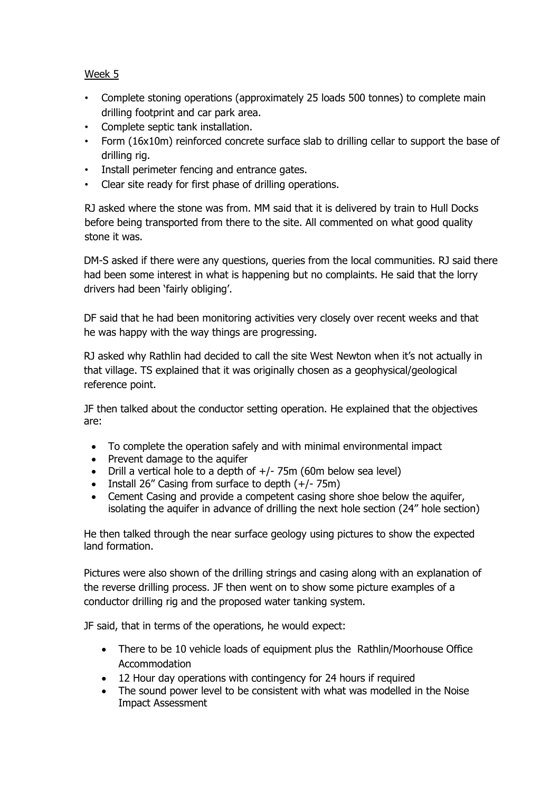Week 5

- Complete stoning operations (approximately 25 loads 500 tonnes) to complete main drilling footprint and car park area.
- Complete septic tank installation.
- Form (16x10m) reinforced concrete surface slab to drilling cellar to support the base of drilling rig.
- Install perimeter fencing and entrance gates.
- Clear site ready for first phase of drilling operations.

RJ asked where the stone was from. MM said that it is delivered by train to Hull Docks before being transported from there to the site. All commented on what good quality stone it was.

 DM-S asked if there were any questions, queries from the local communities. RJ said there had been some interest in what is happening but no complaints. He said that the lorry drivers had been 'fairly obliging'.

 DF said that he had been monitoring activities very closely over recent weeks and that he was happy with the way things are progressing.

 RJ asked why Rathlin had decided to call the site West Newton when it's not actually in that village. TS explained that it was originally chosen as a geophysical/geological reference point.

 JF then talked about the conductor setting operation. He explained that the objectives are:

- To complete the operation safely and with minimal environmental impact
- Prevent damage to the aquifer
- Drill a vertical hole to a depth of  $+/-$  75m (60m below sea level)
- Install 26" Casing from surface to depth  $(+/- 75m)$
- Cement Casing and provide a competent casing shore shoe below the aquifer, isolating the aquifer in advance of drilling the next hole section (24" hole section)

 He then talked through the near surface geology using pictures to show the expected land formation.

 Pictures were also shown of the drilling strings and casing along with an explanation of the reverse drilling process. JF then went on to show some picture examples of a conductor drilling rig and the proposed water tanking system.

JF said, that in terms of the operations, he would expect:

- There to be 10 vehicle loads of equipment plus the Rathlin/Moorhouse Office Accommodation
- 12 Hour day operations with contingency for 24 hours if required
- The sound power level to be consistent with what was modelled in the Noise Impact Assessment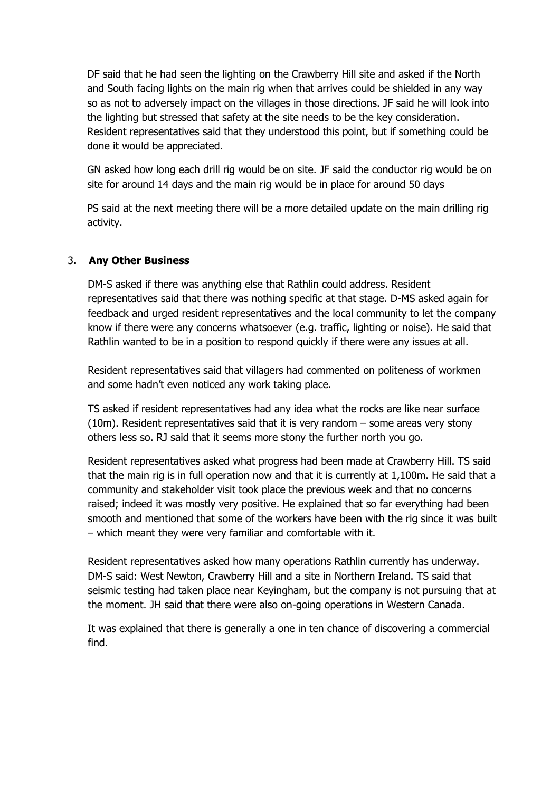DF said that he had seen the lighting on the Crawberry Hill site and asked if the North and South facing lights on the main rig when that arrives could be shielded in any way so as not to adversely impact on the villages in those directions. JF said he will look into the lighting but stressed that safety at the site needs to be the key consideration. Resident representatives said that they understood this point, but if something could be done it would be appreciated.

 GN asked how long each drill rig would be on site. JF said the conductor rig would be on site for around 14 days and the main rig would be in place for around 50 days

 PS said at the next meeting there will be a more detailed update on the main drilling rig activity.

# 3**. Any Other Business**

DM-S asked if there was anything else that Rathlin could address. Resident representatives said that there was nothing specific at that stage. D-MS asked again for feedback and urged resident representatives and the local community to let the company know if there were any concerns whatsoever (e.g. traffic, lighting or noise). He said that Rathlin wanted to be in a position to respond quickly if there were any issues at all.

Resident representatives said that villagers had commented on politeness of workmen and some hadn't even noticed any work taking place.

TS asked if resident representatives had any idea what the rocks are like near surface (10m). Resident representatives said that it is very random – some areas very stony others less so. RJ said that it seems more stony the further north you go.

Resident representatives asked what progress had been made at Crawberry Hill. TS said that the main rig is in full operation now and that it is currently at 1,100m. He said that a community and stakeholder visit took place the previous week and that no concerns raised; indeed it was mostly very positive. He explained that so far everything had been smooth and mentioned that some of the workers have been with the rig since it was built – which meant they were very familiar and comfortable with it.

Resident representatives asked how many operations Rathlin currently has underway. DM-S said: West Newton, Crawberry Hill and a site in Northern Ireland. TS said that seismic testing had taken place near Keyingham, but the company is not pursuing that at the moment. JH said that there were also on-going operations in Western Canada.

It was explained that there is generally a one in ten chance of discovering a commercial find.